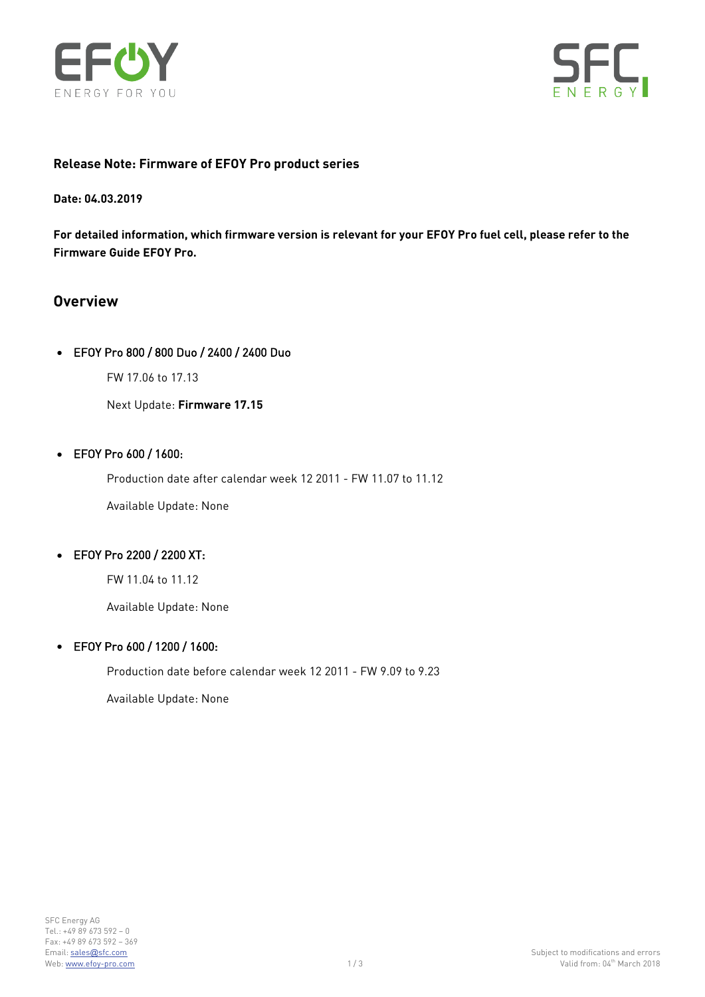



### **Release Note: Firmware of EFOY Pro product series**

**Date: 04.03.2019**

**For detailed information, which firmware version is relevant for your EFOY Pro fuel cell, please refer to the Firmware Guide EFOY Pro.**

# **Overview**

#### • EFOY Pro 800 / 800 Duo / 2400 / 2400 Duo

FW 17.06 to 17.13

Next Update: **Firmware 17.15**

#### • EFOY Pro 600 / 1600:

Production date after calendar week 12 2011 - FW 11.07 to 11.12

Available Update: None

## • EFOY Pro 2200 / 2200 XT:

FW 11.04 to 11.12

Available Update: None

#### • EFOY Pro 600 / 1200 / 1600:

Production date before calendar week 12 2011 - FW 9.09 to 9.23

Available Update: None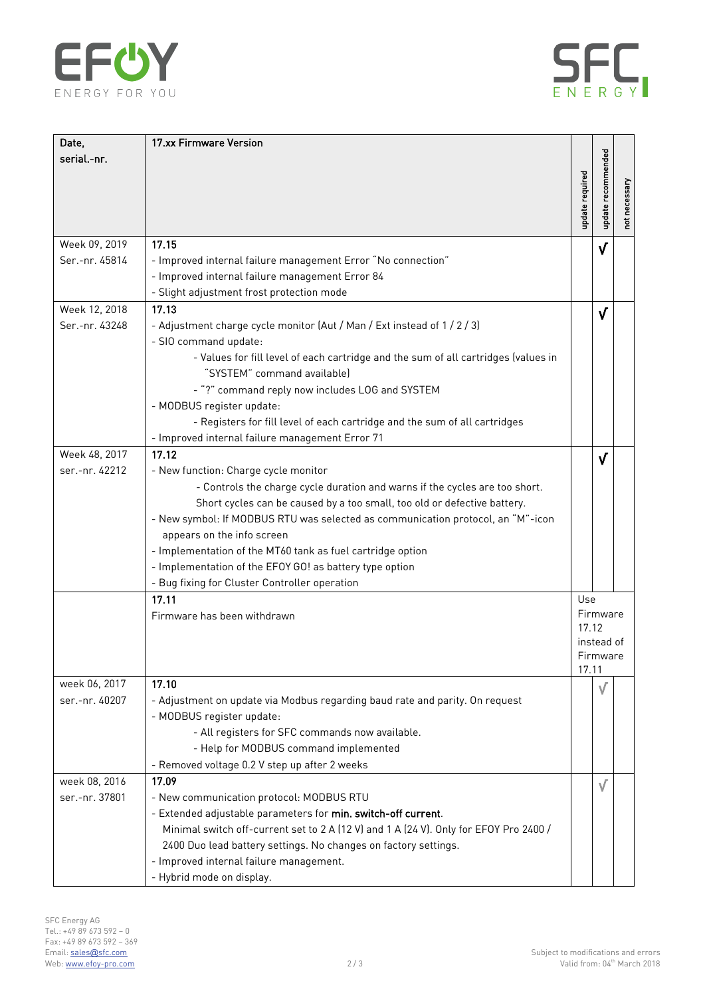



| Date,          | 17.xx Firmware Version                                                                                            |                   |                    |               |
|----------------|-------------------------------------------------------------------------------------------------------------------|-------------------|--------------------|---------------|
| serial.-nr.    |                                                                                                                   | update required   | update recommended | not necessary |
| Week 09, 2019  | 17.15                                                                                                             |                   | $\sqrt{}$          |               |
| Ser.-nr. 45814 | - Improved internal failure management Error "No connection"                                                      |                   |                    |               |
|                | - Improved internal failure management Error 84                                                                   |                   |                    |               |
|                | - Slight adjustment frost protection mode                                                                         |                   |                    |               |
| Week 12, 2018  | 17.13                                                                                                             |                   | V                  |               |
| Ser.-nr. 43248 | - Adjustment charge cycle monitor (Aut / Man / Ext instead of 1 / 2 / 3)                                          |                   |                    |               |
|                | - SIO command update:                                                                                             |                   |                    |               |
|                | - Values for fill level of each cartridge and the sum of all cartridges (values in<br>"SYSTEM" command available) |                   |                    |               |
|                | - "?" command reply now includes LOG and SYSTEM                                                                   |                   |                    |               |
|                | - MODBUS register update:                                                                                         |                   |                    |               |
|                | - Registers for fill level of each cartridge and the sum of all cartridges                                        |                   |                    |               |
|                | - Improved internal failure management Error 71                                                                   |                   |                    |               |
| Week 48, 2017  | 17.12                                                                                                             |                   | $\sqrt{}$          |               |
| ser.-nr. 42212 | - New function: Charge cycle monitor                                                                              |                   |                    |               |
|                | - Controls the charge cycle duration and warns if the cycles are too short.                                       |                   |                    |               |
|                | Short cycles can be caused by a too small, too old or defective battery.                                          |                   |                    |               |
|                | - New symbol: If MODBUS RTU was selected as communication protocol, an "M"-icon                                   |                   |                    |               |
|                | appears on the info screen                                                                                        |                   |                    |               |
|                | - Implementation of the MT60 tank as fuel cartridge option                                                        |                   |                    |               |
|                | - Implementation of the EFOY GO! as battery type option                                                           |                   |                    |               |
|                | - Bug fixing for Cluster Controller operation                                                                     |                   |                    |               |
|                | 17.11                                                                                                             | Use               |                    |               |
|                | Firmware has been withdrawn                                                                                       | Firmware<br>17.12 |                    |               |
|                |                                                                                                                   |                   |                    |               |
|                |                                                                                                                   |                   | instead of         |               |
|                |                                                                                                                   | Firmware<br>17.11 |                    |               |
| week 06, 2017  | 17.10                                                                                                             |                   |                    |               |
| ser.-nr. 40207 | - Adjustment on update via Modbus regarding baud rate and parity. On request                                      |                   |                    |               |
|                | - MODBUS register update:                                                                                         |                   |                    |               |
|                | - All registers for SFC commands now available.                                                                   |                   |                    |               |
|                | - Help for MODBUS command implemented                                                                             |                   |                    |               |
|                | - Removed voltage 0.2 V step up after 2 weeks                                                                     |                   |                    |               |
| week 08, 2016  | 17.09                                                                                                             |                   | $\sqrt{}$          |               |
| ser.-nr. 37801 | - New communication protocol: MODBUS RTU                                                                          |                   |                    |               |
|                | - Extended adjustable parameters for min. switch-off current.                                                     |                   |                    |               |
|                | Minimal switch off-current set to 2 A (12 V) and 1 A (24 V). Only for EFOY Pro 2400 /                             |                   |                    |               |
|                | 2400 Duo lead battery settings. No changes on factory settings.                                                   |                   |                    |               |
|                | - Improved internal failure management.                                                                           |                   |                    |               |
|                | - Hybrid mode on display.                                                                                         |                   |                    |               |